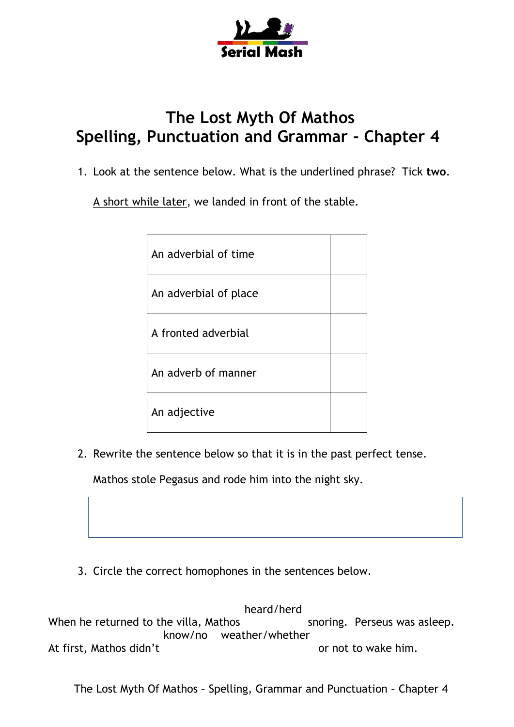

## **The Lost Myth Of Mathos Spelling, Punctuation and Grammar - Chapter 4**

1. Look at the sentence below. What is the underlined phrase? Tick **two**.

A short while later, we landed in front of the stable.

| An adverbial of time  |  |
|-----------------------|--|
| An adverbial of place |  |
| A fronted adverbial   |  |
| An adverb of manner   |  |
| An adjective          |  |

2. Rewrite the sentence below so that it is in the past perfect tense.

Mathos stole Pegasus and rode him into the night sky.

3. Circle the correct homophones in the sentences below.

 heard/herd When he returned to the villa, Mathos snoring. Perseus was asleep. know/no weather/whether At first, Mathos didn't and the control of not to wake him.

The Lost Myth Of Mathos – Spelling, Grammar and Punctuation – Chapter 4